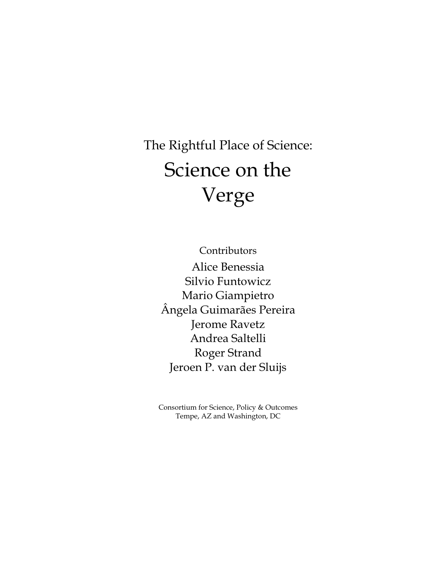## The Rightful Place of Science: Science on the Verge

Contributors Alice Benessia Silvio Funtowicz Mario Giampietro Ângela Guimarães Pereira Jerome Ravetz Andrea Saltelli Roger Strand Jeroen P. van der Sluijs

Consortium for Science, Policy & Outcomes Tempe, AZ and Washington, DC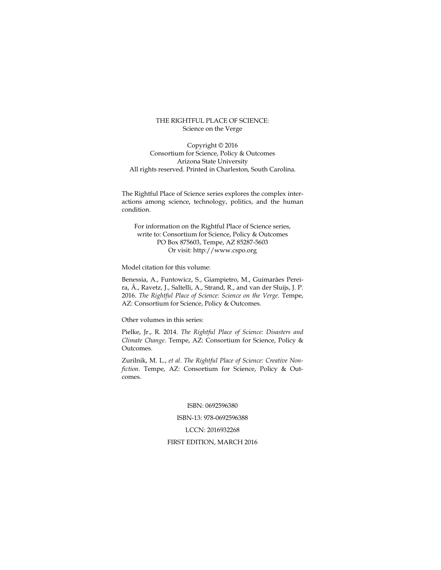#### THE RIGHTFUL PLACE OF SCIENCE: Science on the Verge

Copyright © 2016 Consortium for Science, Policy & Outcomes Arizona State University All rights reserved. Printed in Charleston, South Carolina.

The Rightful Place of Science series explores the complex interactions among science, technology, politics, and the human condition.

For information on the Rightful Place of Science series, write to: Consortium for Science, Policy & Outcomes PO Box 875603, Tempe, AZ 85287-5603 Or visit: http://www.cspo.org

Model citation for this volume:

Benessia, A., Funtowicz, S., Giampietro, M., Guimarães Pereira, Â., Ravetz, J., Saltelli, A., Strand, R., and van der Sluijs, J. P. 2016. *The Rightful Place of Science: Science on the Verge*. Tempe, AZ: Consortium for Science, Policy & Outcomes.

Other volumes in this series:

Pielke, Jr., R. 2014. *The Rightful Place of Science: Disasters and Climate Change*. Tempe, AZ: Consortium for Science, Policy & Outcomes.

Zurilnik, M. L., *et al*. *The Rightful Place of Science: Creative Nonfiction*. Tempe, AZ: Consortium for Science, Policy & Outcomes.

> ISBN: 0692596380 ISBN-13: 978-0692596388 LCCN: 2016932268 FIRST EDITION, MARCH 2016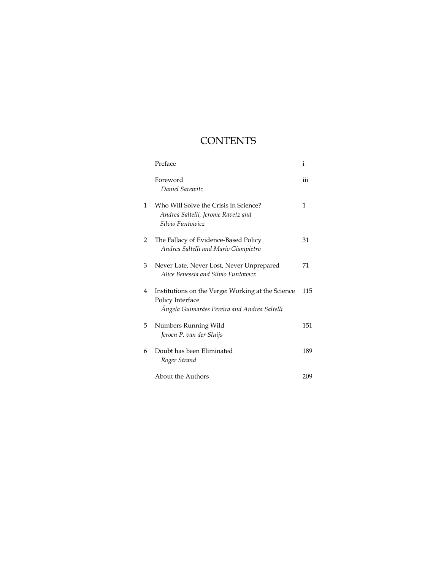#### **CONTENTS**

|   | Preface                                                                                                               | i   |
|---|-----------------------------------------------------------------------------------------------------------------------|-----|
|   | Foreword<br>Daniel Sarewitz                                                                                           | iii |
| 1 | Who Will Solve the Crisis in Science?<br>Andrea Saltelli, Jerome Ravetz and<br>Silvio Funtowicz                       | 1   |
| 2 | The Fallacy of Evidence-Based Policy<br>Andrea Saltelli and Mario Giampietro                                          | 31  |
| 3 | Never Late, Never Lost, Never Unprepared<br>Alice Benessia and Silvio Funtowicz                                       | 71  |
| 4 | Institutions on the Verge: Working at the Science<br>Policy Interface<br>Ângela Guimarães Pereira and Andrea Saltelli | 115 |
| 5 | Numbers Running Wild<br>Jeroen P. van der Sluijs                                                                      | 151 |
| 6 | Doubt has been Eliminated<br>Roger Strand                                                                             | 189 |
|   | About the Authors                                                                                                     | 209 |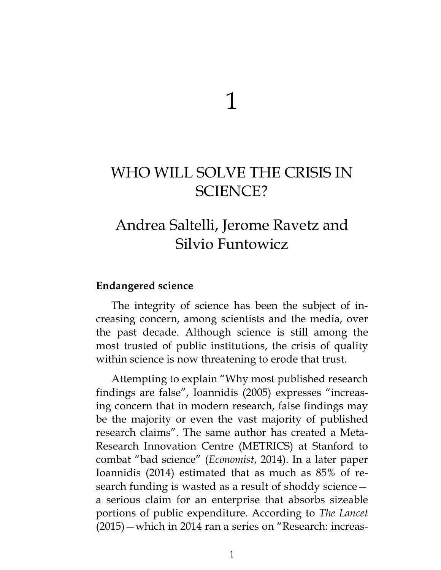# 1

## WHO WILL SOLVE THE CRISIS IN SCIENCE?

### Andrea Saltelli, Jerome Ravetz and Silvio Funtowicz

#### **Endangered science**

The integrity of science has been the subject of increasing concern, among scientists and the media, over the past decade. Although science is still among the most trusted of public institutions, the crisis of quality within science is now threatening to erode that trust.

Attempting to explain "Why most published research findings are false", Ioannidis (2005) expresses "increasing concern that in modern research, false findings may be the majority or even the vast majority of published research claims". The same author has created a Meta-Research Innovation Centre (METRICS) at Stanford to combat "bad science" (*Economist*, 2014). In a later paper Ioannidis (2014) estimated that as much as 85% of research funding is wasted as a result of shoddy science a serious claim for an enterprise that absorbs sizeable portions of public expenditure. According to *The Lancet* (2015)—which in 2014 ran a series on "Research: increas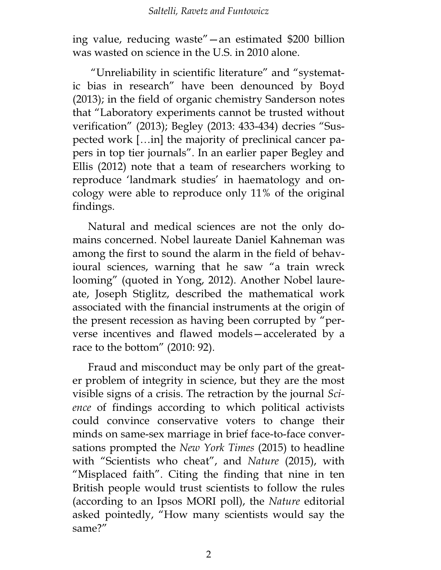ing value, reducing waste"—an estimated \$200 billion was wasted on science in the U.S. in 2010 alone.

 "Unreliability in scientific literature" and "systematic bias in research" have been denounced by Boyd (2013); in the field of organic chemistry Sanderson notes that "Laboratory experiments cannot be trusted without verification" (2013); Begley (2013: 433-434) decries "Suspected work […in] the majority of preclinical cancer papers in top tier journals". In an earlier paper Begley and Ellis (2012) note that a team of researchers working to reproduce 'landmark studies' in haematology and oncology were able to reproduce only 11% of the original findings.

Natural and medical sciences are not the only domains concerned. Nobel laureate Daniel Kahneman was among the first to sound the alarm in the field of behavioural sciences, warning that he saw "a train wreck looming" (quoted in Yong, 2012). Another Nobel laureate, Joseph Stiglitz, described the mathematical work associated with the financial instruments at the origin of the present recession as having been corrupted by "perverse incentives and flawed models—accelerated by a race to the bottom" (2010: 92).

Fraud and misconduct may be only part of the greater problem of integrity in science, but they are the most visible signs of a crisis. The retraction by the journal *Science* of findings according to which political activists could convince conservative voters to change their minds on same-sex marriage in brief face-to-face conversations prompted the *New York Times* (2015) to headline with "Scientists who cheat", and *Nature* (2015), with "Misplaced faith". Citing the finding that nine in ten British people would trust scientists to follow the rules (according to an Ipsos MORI poll), the *Nature* editorial asked pointedly, "How many scientists would say the same?"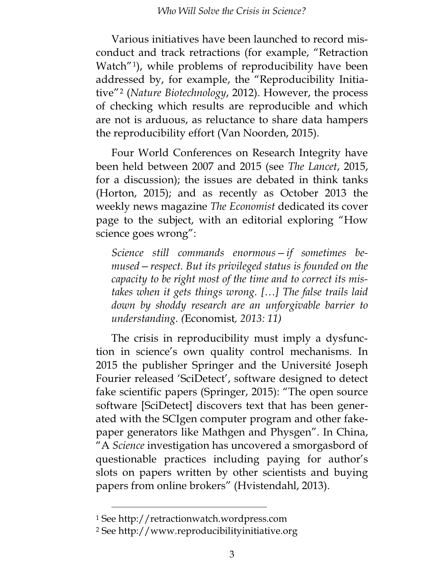*Who Will Solve the Crisis in Science?* 

Various initiatives have been launched to record misconduct and track retractions (for example, "Retraction Watch<sup>"1</sup>), while problems of reproducibility have been addressed by, for example, the "Reproducibility Initiative"2 (*Nature Biotechnology*, 2012). However, the process of checking which results are reproducible and which are not is arduous, as reluctance to share data hampers the reproducibility effort (Van Noorden, 2015).

Four World Conferences on Research Integrity have been held between 2007 and 2015 (see *The Lancet*, 2015, for a discussion); the issues are debated in think tanks (Horton, 2015); and as recently as October 2013 the weekly news magazine *The Economist* dedicated its cover page to the subject, with an editorial exploring "How science goes wrong":

*Science still commands enormous—if sometimes bemused—respect. But its privileged status is founded on the capacity to be right most of the time and to correct its mistakes when it gets things wrong. […] The false trails laid down by shoddy research are an unforgivable barrier to understanding. (*Economist*, 2013: 11)* 

The crisis in reproducibility must imply a dysfunction in science's own quality control mechanisms. In 2015 the publisher Springer and the Université Joseph Fourier released 'SciDetect', software designed to detect fake scientific papers (Springer, 2015): "The open source software [SciDetect] discovers text that has been generated with the SCIgen computer program and other fakepaper generators like Mathgen and Physgen". In China, "A *Science* investigation has uncovered a smorgasbord of questionable practices including paying for author's slots on papers written by other scientists and buying papers from online brokers" (Hvistendahl, 2013).

 <sup>1</sup> See http://retractionwatch.wordpress.com

<sup>2</sup> See http://www.reproducibilityinitiative.org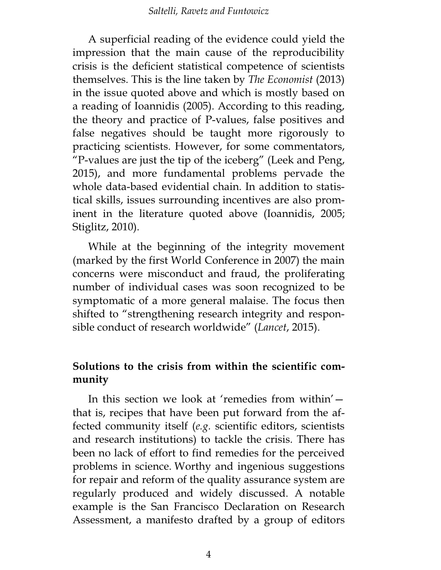A superficial reading of the evidence could yield the impression that the main cause of the reproducibility crisis is the deficient statistical competence of scientists themselves. This is the line taken by *The Economist* (2013) in the issue quoted above and which is mostly based on a reading of Ioannidis (2005). According to this reading, the theory and practice of P-values, false positives and false negatives should be taught more rigorously to practicing scientists. However, for some commentators, "P-values are just the tip of the iceberg" (Leek and Peng, 2015), and more fundamental problems pervade the whole data-based evidential chain. In addition to statistical skills, issues surrounding incentives are also prominent in the literature quoted above (Ioannidis, 2005; Stiglitz, 2010).

While at the beginning of the integrity movement (marked by the first World Conference in 2007) the main concerns were misconduct and fraud, the proliferating number of individual cases was soon recognized to be symptomatic of a more general malaise. The focus then shifted to "strengthening research integrity and responsible conduct of research worldwide" (*Lancet*, 2015).

#### **Solutions to the crisis from within the scientific community**

In this section we look at 'remedies from within' that is, recipes that have been put forward from the affected community itself (*e.g.* scientific editors, scientists and research institutions) to tackle the crisis. There has been no lack of effort to find remedies for the perceived problems in science. Worthy and ingenious suggestions for repair and reform of the quality assurance system are regularly produced and widely discussed. A notable example is the San Francisco Declaration on Research Assessment, a manifesto drafted by a group of editors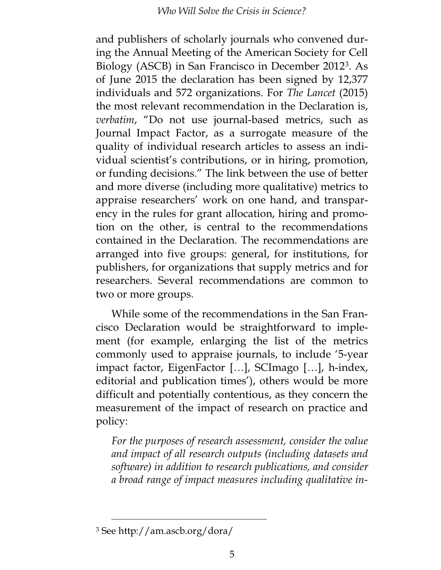*Who Will Solve the Crisis in Science?* 

and publishers of scholarly journals who convened during the Annual Meeting of the American Society for Cell Biology (ASCB) in San Francisco in December 20123. As of June 2015 the declaration has been signed by 12,377 individuals and 572 organizations. For *The Lancet* (2015) the most relevant recommendation in the Declaration is, *verbatim*, "Do not use journal-based metrics, such as Journal Impact Factor, as a surrogate measure of the quality of individual research articles to assess an individual scientist's contributions, or in hiring, promotion, or funding decisions." The link between the use of better and more diverse (including more qualitative) metrics to appraise researchers' work on one hand, and transparency in the rules for grant allocation, hiring and promotion on the other, is central to the recommendations contained in the Declaration. The recommendations are arranged into five groups: general, for institutions, for publishers, for organizations that supply metrics and for researchers. Several recommendations are common to two or more groups.

While some of the recommendations in the San Francisco Declaration would be straightforward to implement (for example, enlarging the list of the metrics commonly used to appraise journals, to include '5-year impact factor, EigenFactor […], SCImago […], h-index, editorial and publication times'), others would be more difficult and potentially contentious, as they concern the measurement of the impact of research on practice and policy:

*For the purposes of research assessment, consider the value and impact of all research outputs (including datasets and software) in addition to research publications, and consider a broad range of impact measures including qualitative in-*

 <sup>3</sup> See http://am.ascb.org/dora/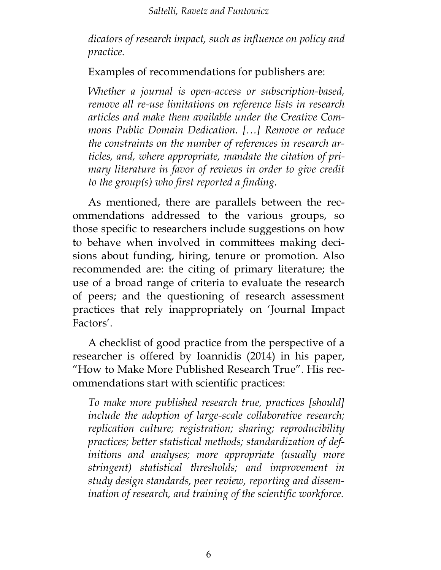*dicators of research impact, such as influence on policy and practice.* 

Examples of recommendations for publishers are:

*Whether a journal is open-access or subscription-based, remove all re-use limitations on reference lists in research articles and make them available under the Creative Commons Public Domain Dedication. […] Remove or reduce the constraints on the number of references in research articles, and, where appropriate, mandate the citation of primary literature in favor of reviews in order to give credit to the group(s) who first reported a finding.* 

As mentioned, there are parallels between the recommendations addressed to the various groups, so those specific to researchers include suggestions on how to behave when involved in committees making decisions about funding, hiring, tenure or promotion. Also recommended are: the citing of primary literature; the use of a broad range of criteria to evaluate the research of peers; and the questioning of research assessment practices that rely inappropriately on 'Journal Impact Factors'.

A checklist of good practice from the perspective of a researcher is offered by Ioannidis (2014) in his paper, "How to Make More Published Research True". His recommendations start with scientific practices:

*To make more published research true, practices [should] include the adoption of large-scale collaborative research; replication culture; registration; sharing; reproducibility practices; better statistical methods; standardization of definitions and analyses; more appropriate (usually more stringent) statistical thresholds; and improvement in study design standards, peer review, reporting and dissemination of research, and training of the scientific workforce.*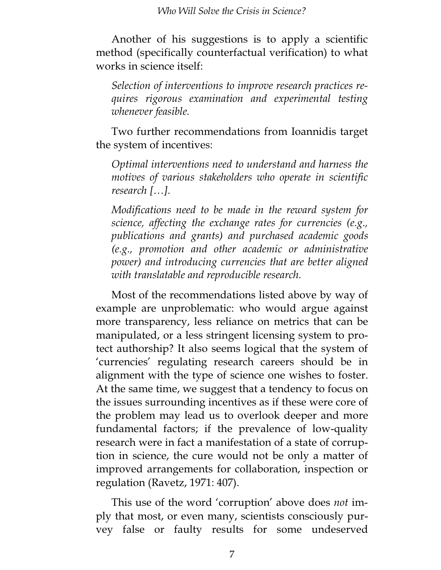Another of his suggestions is to apply a scientific method (specifically counterfactual verification) to what works in science itself:

*Selection of interventions to improve research practices requires rigorous examination and experimental testing whenever feasible.* 

Two further recommendations from Ioannidis target the system of incentives:

*Optimal interventions need to understand and harness the motives of various stakeholders who operate in scientific research […].* 

*Modifications need to be made in the reward system for science, affecting the exchange rates for currencies (e.g., publications and grants) and purchased academic goods (e.g., promotion and other academic or administrative power) and introducing currencies that are better aligned with translatable and reproducible research.* 

Most of the recommendations listed above by way of example are unproblematic: who would argue against more transparency, less reliance on metrics that can be manipulated, or a less stringent licensing system to protect authorship? It also seems logical that the system of 'currencies' regulating research careers should be in alignment with the type of science one wishes to foster. At the same time, we suggest that a tendency to focus on the issues surrounding incentives as if these were core of the problem may lead us to overlook deeper and more fundamental factors; if the prevalence of low-quality research were in fact a manifestation of a state of corruption in science, the cure would not be only a matter of improved arrangements for collaboration, inspection or regulation (Ravetz, 1971: 407).

This use of the word 'corruption' above does *not* imply that most, or even many, scientists consciously purvey false or faulty results for some undeserved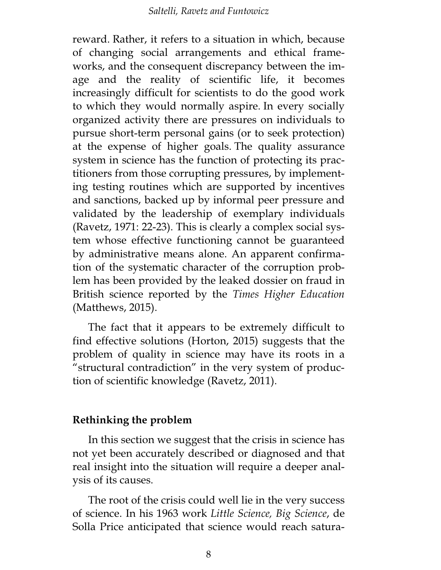reward. Rather, it refers to a situation in which, because of changing social arrangements and ethical frameworks, and the consequent discrepancy between the image and the reality of scientific life, it becomes increasingly difficult for scientists to do the good work to which they would normally aspire. In every socially organized activity there are pressures on individuals to pursue short-term personal gains (or to seek protection) at the expense of higher goals. The quality assurance system in science has the function of protecting its practitioners from those corrupting pressures, by implementing testing routines which are supported by incentives and sanctions, backed up by informal peer pressure and validated by the leadership of exemplary individuals (Ravetz, 1971: 22-23). This is clearly a complex social system whose effective functioning cannot be guaranteed by administrative means alone. An apparent confirmation of the systematic character of the corruption problem has been provided by the leaked dossier on fraud in British science reported by the *Times Higher Education* (Matthews, 2015).

The fact that it appears to be extremely difficult to find effective solutions (Horton, 2015) suggests that the problem of quality in science may have its roots in a "structural contradiction" in the very system of production of scientific knowledge (Ravetz, 2011).

#### **Rethinking the problem**

In this section we suggest that the crisis in science has not yet been accurately described or diagnosed and that real insight into the situation will require a deeper analysis of its causes.

The root of the crisis could well lie in the very success of science. In his 1963 work *Little Science, Big Science*, de Solla Price anticipated that science would reach satura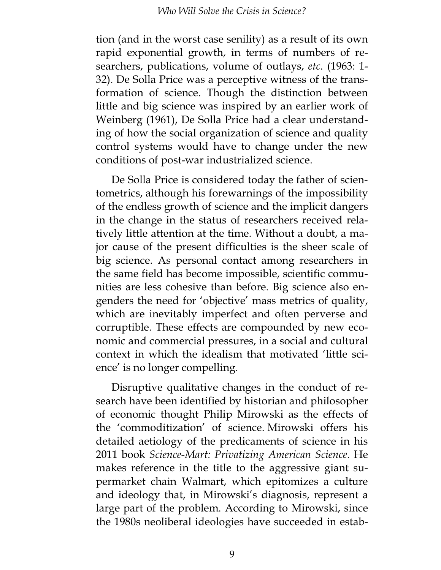tion (and in the worst case senility) as a result of its own rapid exponential growth, in terms of numbers of researchers, publications, volume of outlays, *etc*. (1963: 1- 32). De Solla Price was a perceptive witness of the transformation of science. Though the distinction between little and big science was inspired by an earlier work of Weinberg (1961), De Solla Price had a clear understanding of how the social organization of science and quality control systems would have to change under the new conditions of post-war industrialized science.

De Solla Price is considered today the father of scientometrics, although his forewarnings of the impossibility of the endless growth of science and the implicit dangers in the change in the status of researchers received relatively little attention at the time. Without a doubt, a major cause of the present difficulties is the sheer scale of big science. As personal contact among researchers in the same field has become impossible, scientific communities are less cohesive than before. Big science also engenders the need for 'objective' mass metrics of quality, which are inevitably imperfect and often perverse and corruptible. These effects are compounded by new economic and commercial pressures, in a social and cultural context in which the idealism that motivated 'little science' is no longer compelling.

Disruptive qualitative changes in the conduct of research have been identified by historian and philosopher of economic thought Philip Mirowski as the effects of the 'commoditization' of science. Mirowski offers his detailed aetiology of the predicaments of science in his 2011 book *Science-Mart: Privatizing American Science*. He makes reference in the title to the aggressive giant supermarket chain Walmart, which epitomizes a culture and ideology that, in Mirowski's diagnosis, represent a large part of the problem. According to Mirowski, since the 1980s neoliberal ideologies have succeeded in estab-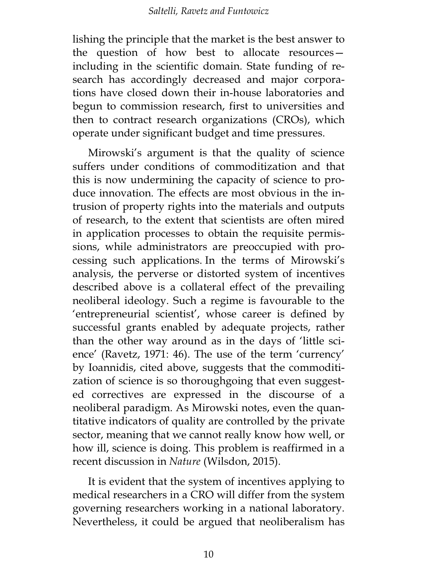#### *Saltelli, Ravetz and Funtowicz*

lishing the principle that the market is the best answer to the question of how best to allocate resources including in the scientific domain. State funding of research has accordingly decreased and major corporations have closed down their in-house laboratories and begun to commission research, first to universities and then to contract research organizations (CROs), which operate under significant budget and time pressures.

Mirowski's argument is that the quality of science suffers under conditions of commoditization and that this is now undermining the capacity of science to produce innovation. The effects are most obvious in the intrusion of property rights into the materials and outputs of research, to the extent that scientists are often mired in application processes to obtain the requisite permissions, while administrators are preoccupied with processing such applications. In the terms of Mirowski's analysis, the perverse or distorted system of incentives described above is a collateral effect of the prevailing neoliberal ideology. Such a regime is favourable to the 'entrepreneurial scientist', whose career is defined by successful grants enabled by adequate projects, rather than the other way around as in the days of 'little science' (Ravetz, 1971: 46). The use of the term 'currency' by Ioannidis, cited above, suggests that the commoditization of science is so thoroughgoing that even suggested correctives are expressed in the discourse of a neoliberal paradigm. As Mirowski notes, even the quantitative indicators of quality are controlled by the private sector, meaning that we cannot really know how well, or how ill, science is doing. This problem is reaffirmed in a recent discussion in *Nature* (Wilsdon, 2015).

It is evident that the system of incentives applying to medical researchers in a CRO will differ from the system governing researchers working in a national laboratory. Nevertheless, it could be argued that neoliberalism has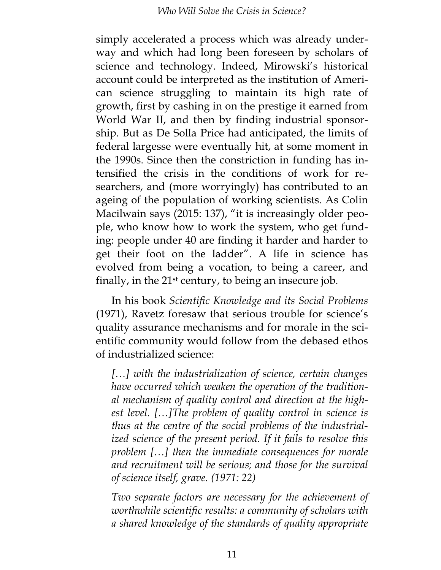simply accelerated a process which was already underway and which had long been foreseen by scholars of science and technology. Indeed, Mirowski's historical account could be interpreted as the institution of American science struggling to maintain its high rate of growth, first by cashing in on the prestige it earned from World War II, and then by finding industrial sponsorship. But as De Solla Price had anticipated, the limits of federal largesse were eventually hit, at some moment in the 1990s. Since then the constriction in funding has intensified the crisis in the conditions of work for researchers, and (more worryingly) has contributed to an ageing of the population of working scientists. As Colin Macilwain says (2015: 137), "it is increasingly older people, who know how to work the system, who get funding: people under 40 are finding it harder and harder to get their foot on the ladder". A life in science has evolved from being a vocation, to being a career, and finally, in the 21st century, to being an insecure job.

In his book *Scientific Knowledge and its Social Problems* (1971), Ravetz foresaw that serious trouble for science's quality assurance mechanisms and for morale in the scientific community would follow from the debased ethos of industrialized science:

*[…] with the industrialization of science, certain changes have occurred which weaken the operation of the traditional mechanism of quality control and direction at the highest level. […]The problem of quality control in science is thus at the centre of the social problems of the industrialized science of the present period. If it fails to resolve this problem […] then the immediate consequences for morale and recruitment will be serious; and those for the survival of science itself, grave. (1971: 22)* 

*Two separate factors are necessary for the achievement of worthwhile scientific results: a community of scholars with a shared knowledge of the standards of quality appropriate*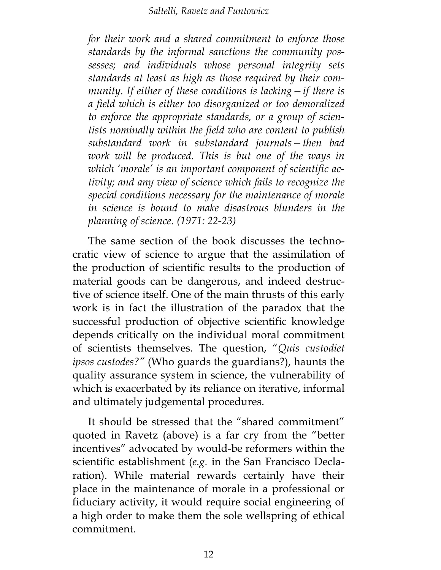*for their work and a shared commitment to enforce those standards by the informal sanctions the community possesses; and individuals whose personal integrity sets standards at least as high as those required by their community. If either of these conditions is lacking—if there is a field which is either too disorganized or too demoralized to enforce the appropriate standards, or a group of scientists nominally within the field who are content to publish substandard work in substandard journals—then bad work will be produced. This is but one of the ways in which 'morale' is an important component of scientific activity; and any view of science which fails to recognize the special conditions necessary for the maintenance of morale in science is bound to make disastrous blunders in the planning of science. (1971: 22-23)* 

The same section of the book discusses the technocratic view of science to argue that the assimilation of the production of scientific results to the production of material goods can be dangerous, and indeed destructive of science itself. One of the main thrusts of this early work is in fact the illustration of the paradox that the successful production of objective scientific knowledge depends critically on the individual moral commitment of scientists themselves. The question, "*Quis custodiet ipsos custodes?"* (Who guards the guardians?), haunts the quality assurance system in science, the vulnerability of which is exacerbated by its reliance on iterative, informal and ultimately judgemental procedures.

It should be stressed that the "shared commitment" quoted in Ravetz (above) is a far cry from the "better incentives" advocated by would-be reformers within the scientific establishment (*e.g.* in the San Francisco Declaration). While material rewards certainly have their place in the maintenance of morale in a professional or fiduciary activity, it would require social engineering of a high order to make them the sole wellspring of ethical commitment.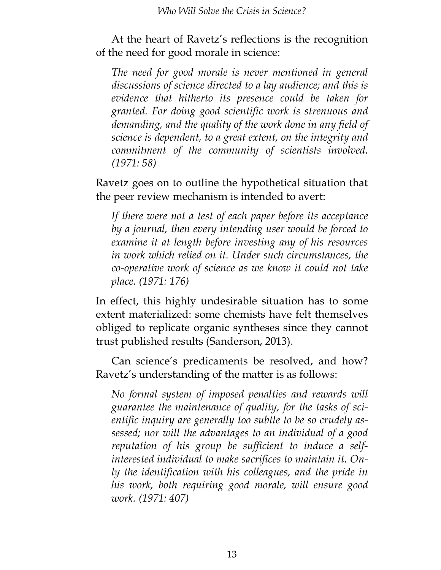At the heart of Ravetz's reflections is the recognition of the need for good morale in science:

*The need for good morale is never mentioned in general discussions of science directed to a lay audience; and this is evidence that hitherto its presence could be taken for granted. For doing good scientific work is strenuous and demanding, and the quality of the work done in any field of science is dependent, to a great extent, on the integrity and commitment of the community of scientists involved. (1971: 58)* 

Ravetz goes on to outline the hypothetical situation that the peer review mechanism is intended to avert:

*If there were not a test of each paper before its acceptance by a journal, then every intending user would be forced to examine it at length before investing any of his resources in work which relied on it. Under such circumstances, the co-operative work of science as we know it could not take place. (1971: 176)* 

In effect, this highly undesirable situation has to some extent materialized: some chemists have felt themselves obliged to replicate organic syntheses since they cannot trust published results (Sanderson, 2013).

Can science's predicaments be resolved, and how? Ravetz's understanding of the matter is as follows:

*No formal system of imposed penalties and rewards will guarantee the maintenance of quality, for the tasks of scientific inquiry are generally too subtle to be so crudely assessed; nor will the advantages to an individual of a good reputation of his group be sufficient to induce a selfinterested individual to make sacrifices to maintain it. Only the identification with his colleagues, and the pride in his work, both requiring good morale, will ensure good work. (1971: 407)*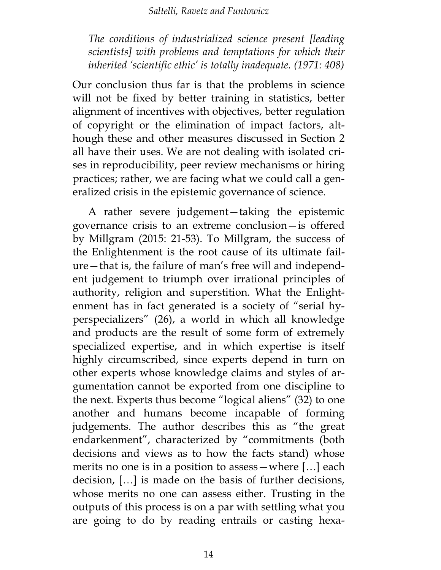*The conditions of industrialized science present [leading scientists] with problems and temptations for which their inherited 'scientific ethic' is totally inadequate. (1971: 408)* 

Our conclusion thus far is that the problems in science will not be fixed by better training in statistics, better alignment of incentives with objectives, better regulation of copyright or the elimination of impact factors, although these and other measures discussed in Section 2 all have their uses. We are not dealing with isolated crises in reproducibility, peer review mechanisms or hiring practices; rather, we are facing what we could call a generalized crisis in the epistemic governance of science.

A rather severe judgement—taking the epistemic governance crisis to an extreme conclusion—is offered by Millgram (2015: 21-53). To Millgram, the success of the Enlightenment is the root cause of its ultimate failure—that is, the failure of man's free will and independent judgement to triumph over irrational principles of authority, religion and superstition. What the Enlightenment has in fact generated is a society of "serial hyperspecializers" (26), a world in which all knowledge and products are the result of some form of extremely specialized expertise, and in which expertise is itself highly circumscribed, since experts depend in turn on other experts whose knowledge claims and styles of argumentation cannot be exported from one discipline to the next. Experts thus become "logical aliens" (32) to one another and humans become incapable of forming judgements. The author describes this as "the great endarkenment", characterized by "commitments (both decisions and views as to how the facts stand) whose merits no one is in a position to assess—where […] each decision, […] is made on the basis of further decisions, whose merits no one can assess either. Trusting in the outputs of this process is on a par with settling what you are going to do by reading entrails or casting hexa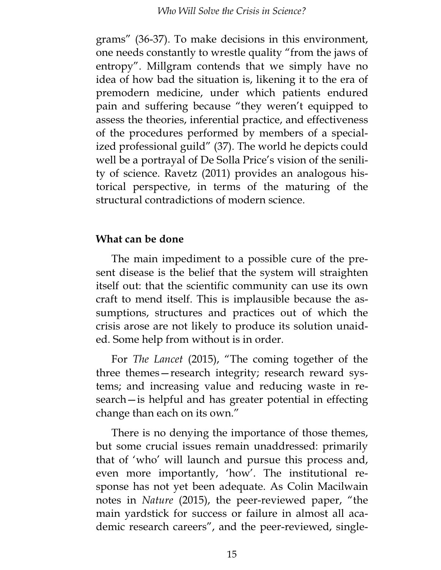grams" (36-37). To make decisions in this environment, one needs constantly to wrestle quality "from the jaws of entropy". Millgram contends that we simply have no idea of how bad the situation is, likening it to the era of premodern medicine, under which patients endured pain and suffering because "they weren't equipped to assess the theories, inferential practice, and effectiveness of the procedures performed by members of a specialized professional guild" (37). The world he depicts could well be a portrayal of De Solla Price's vision of the senility of science. Ravetz (2011) provides an analogous historical perspective, in terms of the maturing of the structural contradictions of modern science.

#### **What can be done**

The main impediment to a possible cure of the present disease is the belief that the system will straighten itself out: that the scientific community can use its own craft to mend itself. This is implausible because the assumptions, structures and practices out of which the crisis arose are not likely to produce its solution unaided. Some help from without is in order.

For *The Lancet* (2015), "The coming together of the three themes—research integrity; research reward systems; and increasing value and reducing waste in research—is helpful and has greater potential in effecting change than each on its own."

There is no denying the importance of those themes, but some crucial issues remain unaddressed: primarily that of 'who' will launch and pursue this process and, even more importantly, 'how'. The institutional response has not yet been adequate. As Colin Macilwain notes in *Nature* (2015), the peer-reviewed paper, "the main yardstick for success or failure in almost all academic research careers", and the peer-reviewed, single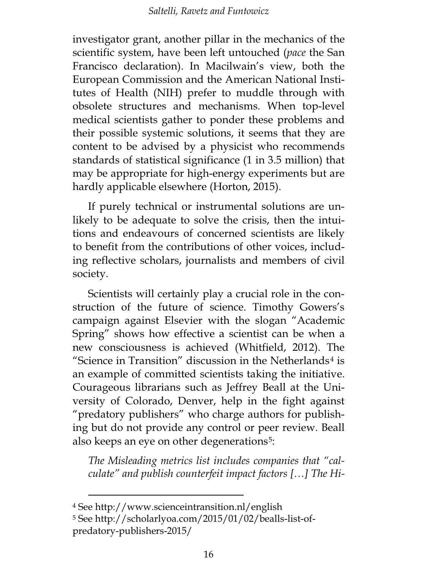investigator grant, another pillar in the mechanics of the scientific system, have been left untouched (*pace* the San Francisco declaration). In Macilwain's view, both the European Commission and the American National Institutes of Health (NIH) prefer to muddle through with obsolete structures and mechanisms. When top-level medical scientists gather to ponder these problems and their possible systemic solutions, it seems that they are content to be advised by a physicist who recommends standards of statistical significance (1 in 3.5 million) that may be appropriate for high-energy experiments but are hardly applicable elsewhere (Horton, 2015).

If purely technical or instrumental solutions are unlikely to be adequate to solve the crisis, then the intuitions and endeavours of concerned scientists are likely to benefit from the contributions of other voices, including reflective scholars, journalists and members of civil society.

Scientists will certainly play a crucial role in the construction of the future of science. Timothy Gowers's campaign against Elsevier with the slogan "Academic Spring" shows how effective a scientist can be when a new consciousness is achieved (Whitfield, 2012). The "Science in Transition" discussion in the Netherlands<sup>4</sup> is an example of committed scientists taking the initiative. Courageous librarians such as Jeffrey Beall at the University of Colorado, Denver, help in the fight against "predatory publishers" who charge authors for publishing but do not provide any control or peer review. Beall also keeps an eye on other degenerations<sup>5</sup>:

*The Misleading metrics list includes companies that "calculate" and publish counterfeit impact factors […] The Hi-*

 <sup>4</sup> See http://www.scienceintransition.nl/english

<sup>5</sup> See http://scholarlyoa.com/2015/01/02/bealls-list-ofpredatory-publishers-2015/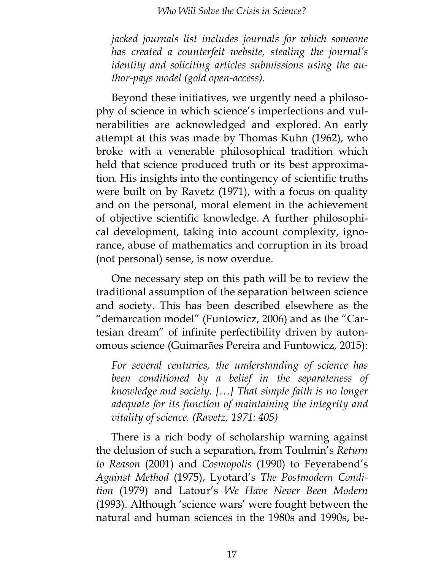*jacked journals list includes journals for which someone has created a counterfeit website, stealing the journal's identity and soliciting articles submissions using the author-pays model (gold open-access).* 

Beyond these initiatives, we urgently need a philosophy of science in which science's imperfections and vulnerabilities are acknowledged and explored. An early attempt at this was made by Thomas Kuhn (1962), who broke with a venerable philosophical tradition which held that science produced truth or its best approximation. His insights into the contingency of scientific truths were built on by Ravetz (1971), with a focus on quality and on the personal, moral element in the achievement of objective scientific knowledge. A further philosophical development, taking into account complexity, ignorance, abuse of mathematics and corruption in its broad (not personal) sense, is now overdue.

One necessary step on this path will be to review the traditional assumption of the separation between science and society. This has been described elsewhere as the "demarcation model" (Funtowicz, 2006) and as the "Cartesian dream" of infinite perfectibility driven by autonomous science (Guimarães Pereira and Funtowicz, 2015):

*For several centuries, the understanding of science has been conditioned by a belief in the separateness of knowledge and society. […] That simple faith is no longer adequate for its function of maintaining the integrity and vitality of science. (Ravetz, 1971: 405)* 

There is a rich body of scholarship warning against the delusion of such a separation, from Toulmin's *Return to Reason* (2001) and *Cosmopolis* (1990) to Feyerabend's *Against Method* (1975), Lyotard's *The Postmodern Condition* (1979) and Latour's *We Have Never Been Modern*  (1993). Although 'science wars' were fought between the natural and human sciences in the 1980s and 1990s, be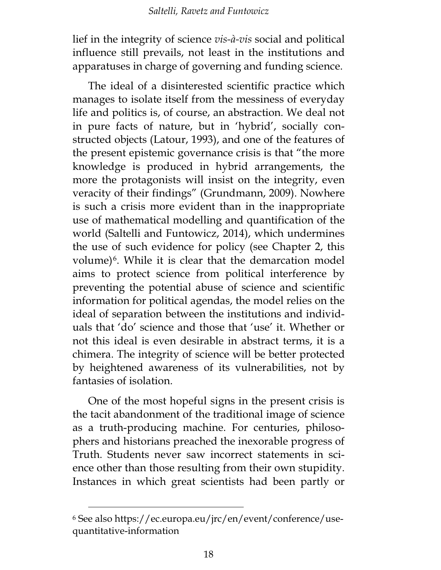lief in the integrity of science *vis-à-vis* social and political influence still prevails, not least in the institutions and apparatuses in charge of governing and funding science.

The ideal of a disinterested scientific practice which manages to isolate itself from the messiness of everyday life and politics is, of course, an abstraction. We deal not in pure facts of nature, but in 'hybrid', socially constructed objects (Latour, 1993), and one of the features of the present epistemic governance crisis is that "the more knowledge is produced in hybrid arrangements, the more the protagonists will insist on the integrity, even veracity of their findings" (Grundmann, 2009). Nowhere is such a crisis more evident than in the inappropriate use of mathematical modelling and quantification of the world (Saltelli and Funtowicz, 2014), which undermines the use of such evidence for policy (see Chapter 2, this volume)6. While it is clear that the demarcation model aims to protect science from political interference by preventing the potential abuse of science and scientific information for political agendas, the model relies on the ideal of separation between the institutions and individuals that 'do' science and those that 'use' it. Whether or not this ideal is even desirable in abstract terms, it is a chimera. The integrity of science will be better protected by heightened awareness of its vulnerabilities, not by fantasies of isolation.

One of the most hopeful signs in the present crisis is the tacit abandonment of the traditional image of science as a truth-producing machine. For centuries, philosophers and historians preached the inexorable progress of Truth. Students never saw incorrect statements in science other than those resulting from their own stupidity. Instances in which great scientists had been partly or

 <sup>6</sup> See also https://ec.europa.eu/jrc/en/event/conference/usequantitative-information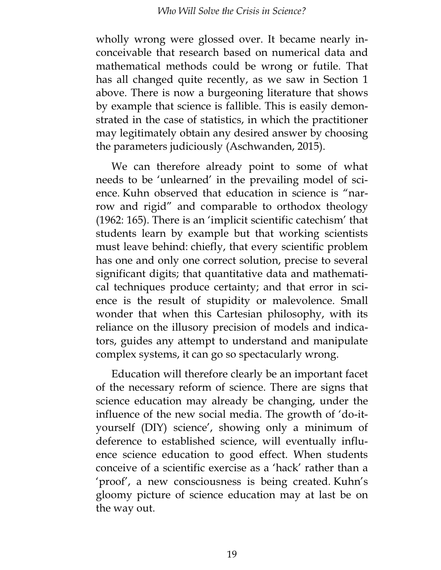wholly wrong were glossed over. It became nearly inconceivable that research based on numerical data and mathematical methods could be wrong or futile. That has all changed quite recently, as we saw in Section 1 above. There is now a burgeoning literature that shows by example that science is fallible. This is easily demonstrated in the case of statistics, in which the practitioner may legitimately obtain any desired answer by choosing the parameters judiciously (Aschwanden, 2015).

We can therefore already point to some of what needs to be 'unlearned' in the prevailing model of science. Kuhn observed that education in science is "narrow and rigid" and comparable to orthodox theology (1962: 165). There is an 'implicit scientific catechism' that students learn by example but that working scientists must leave behind: chiefly, that every scientific problem has one and only one correct solution, precise to several significant digits; that quantitative data and mathematical techniques produce certainty; and that error in science is the result of stupidity or malevolence. Small wonder that when this Cartesian philosophy, with its reliance on the illusory precision of models and indicators, guides any attempt to understand and manipulate complex systems, it can go so spectacularly wrong.

Education will therefore clearly be an important facet of the necessary reform of science. There are signs that science education may already be changing, under the influence of the new social media. The growth of 'do-ityourself (DIY) science', showing only a minimum of deference to established science, will eventually influence science education to good effect. When students conceive of a scientific exercise as a 'hack' rather than a 'proof', a new consciousness is being created. Kuhn's gloomy picture of science education may at last be on the way out.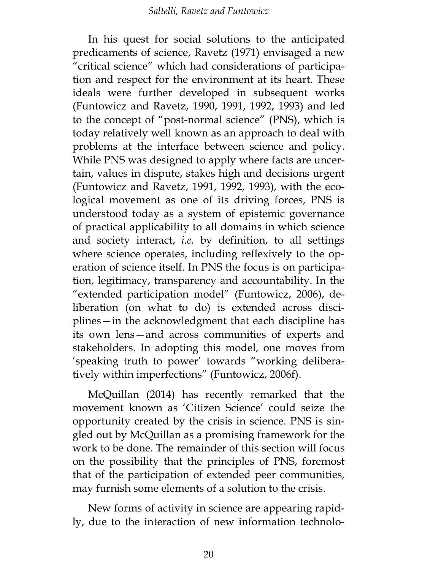In his quest for social solutions to the anticipated predicaments of science, Ravetz (1971) envisaged a new "critical science" which had considerations of participation and respect for the environment at its heart. These ideals were further developed in subsequent works (Funtowicz and Ravetz, 1990, 1991, 1992, 1993) and led to the concept of "post-normal science" (PNS), which is today relatively well known as an approach to deal with problems at the interface between science and policy. While PNS was designed to apply where facts are uncertain, values in dispute, stakes high and decisions urgent (Funtowicz and Ravetz, 1991, 1992, 1993), with the ecological movement as one of its driving forces, PNS is understood today as a system of epistemic governance of practical applicability to all domains in which science and society interact, *i.e.* by definition, to all settings where science operates, including reflexively to the operation of science itself. In PNS the focus is on participation, legitimacy, transparency and accountability. In the "extended participation model" (Funtowicz, 2006), deliberation (on what to do) is extended across disciplines—in the acknowledgment that each discipline has its own lens—and across communities of experts and stakeholders. In adopting this model, one moves from 'speaking truth to power' towards "working deliberatively within imperfections" (Funtowicz, 2006f).

McQuillan (2014) has recently remarked that the movement known as 'Citizen Science' could seize the opportunity created by the crisis in science. PNS is singled out by McQuillan as a promising framework for the work to be done. The remainder of this section will focus on the possibility that the principles of PNS, foremost that of the participation of extended peer communities, may furnish some elements of a solution to the crisis.

New forms of activity in science are appearing rapidly, due to the interaction of new information technolo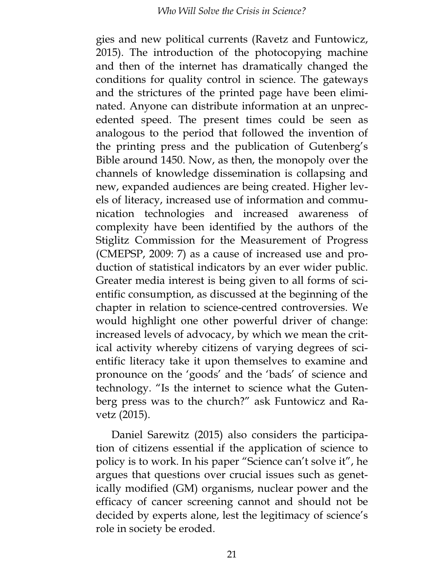gies and new political currents (Ravetz and Funtowicz, 2015). The introduction of the photocopying machine and then of the internet has dramatically changed the conditions for quality control in science. The gateways and the strictures of the printed page have been eliminated. Anyone can distribute information at an unprecedented speed. The present times could be seen as analogous to the period that followed the invention of the printing press and the publication of Gutenberg's Bible around 1450. Now, as then, the monopoly over the channels of knowledge dissemination is collapsing and new, expanded audiences are being created. Higher levels of literacy, increased use of information and communication technologies and increased awareness of complexity have been identified by the authors of the Stiglitz Commission for the Measurement of Progress (CMEPSP, 2009: 7) as a cause of increased use and production of statistical indicators by an ever wider public. Greater media interest is being given to all forms of scientific consumption, as discussed at the beginning of the chapter in relation to science-centred controversies. We would highlight one other powerful driver of change: increased levels of advocacy, by which we mean the critical activity whereby citizens of varying degrees of scientific literacy take it upon themselves to examine and pronounce on the 'goods' and the 'bads' of science and technology. "Is the internet to science what the Gutenberg press was to the church?" ask Funtowicz and Ravetz (2015).

Daniel Sarewitz (2015) also considers the participation of citizens essential if the application of science to policy is to work. In his paper "Science can't solve it", he argues that questions over crucial issues such as genetically modified (GM) organisms, nuclear power and the efficacy of cancer screening cannot and should not be decided by experts alone, lest the legitimacy of science's role in society be eroded.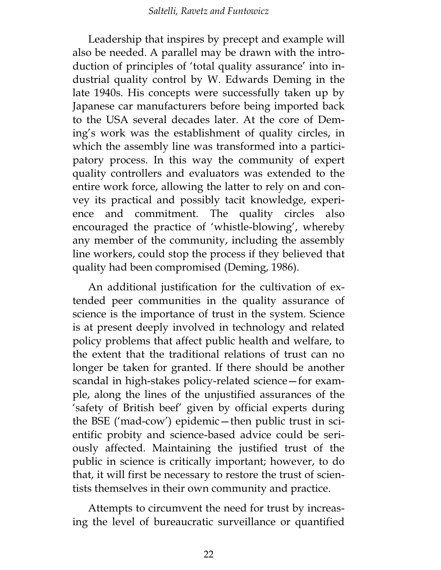Leadership that inspires by precept and example will also be needed. A parallel may be drawn with the introduction of principles of 'total quality assurance' into industrial quality control by W. Edwards Deming in the late 1940s. His concepts were successfully taken up by Japanese car manufacturers before being imported back to the USA several decades later. At the core of Deming's work was the establishment of quality circles, in which the assembly line was transformed into a participatory process. In this way the community of expert quality controllers and evaluators was extended to the entire work force, allowing the latter to rely on and convey its practical and possibly tacit knowledge, experience and commitment. The quality circles also encouraged the practice of 'whistle-blowing', whereby any member of the community, including the assembly line workers, could stop the process if they believed that quality had been compromised (Deming, 1986).

An additional justification for the cultivation of extended peer communities in the quality assurance of science is the importance of trust in the system. Science is at present deeply involved in technology and related policy problems that affect public health and welfare, to the extent that the traditional relations of trust can no longer be taken for granted. If there should be another scandal in high-stakes policy-related science—for example, along the lines of the unjustified assurances of the 'safety of British beef' given by official experts during the BSE ('mad-cow') epidemic—then public trust in scientific probity and science-based advice could be seriously affected. Maintaining the justified trust of the public in science is critically important; however, to do that, it will first be necessary to restore the trust of scientists themselves in their own community and practice.

Attempts to circumvent the need for trust by increasing the level of bureaucratic surveillance or quantified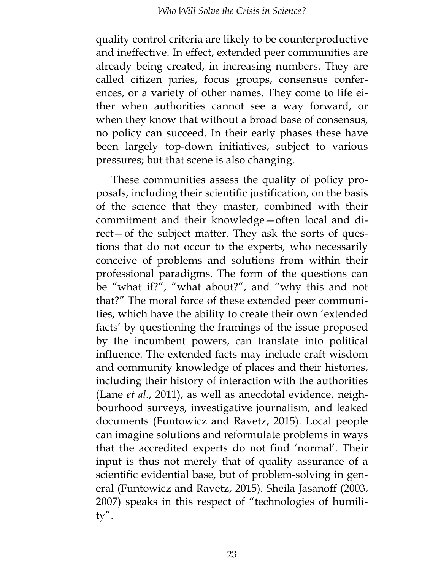*Who Will Solve the Crisis in Science?* 

quality control criteria are likely to be counterproductive and ineffective. In effect, extended peer communities are already being created, in increasing numbers. They are called citizen juries, focus groups, consensus conferences, or a variety of other names. They come to life either when authorities cannot see a way forward, or when they know that without a broad base of consensus, no policy can succeed. In their early phases these have been largely top-down initiatives, subject to various pressures; but that scene is also changing.

These communities assess the quality of policy proposals, including their scientific justification, on the basis of the science that they master, combined with their commitment and their knowledge—often local and direct—of the subject matter. They ask the sorts of questions that do not occur to the experts, who necessarily conceive of problems and solutions from within their professional paradigms. The form of the questions can be "what if?", "what about?", and "why this and not that?" The moral force of these extended peer communities, which have the ability to create their own 'extended facts' by questioning the framings of the issue proposed by the incumbent powers, can translate into political influence. The extended facts may include craft wisdom and community knowledge of places and their histories, including their history of interaction with the authorities (Lane *et al.*, 2011), as well as anecdotal evidence, neighbourhood surveys, investigative journalism, and leaked documents (Funtowicz and Ravetz, 2015). Local people can imagine solutions and reformulate problems in ways that the accredited experts do not find 'normal'. Their input is thus not merely that of quality assurance of a scientific evidential base, but of problem-solving in general (Funtowicz and Ravetz, 2015). Sheila Jasanoff (2003, 2007) speaks in this respect of "technologies of humility".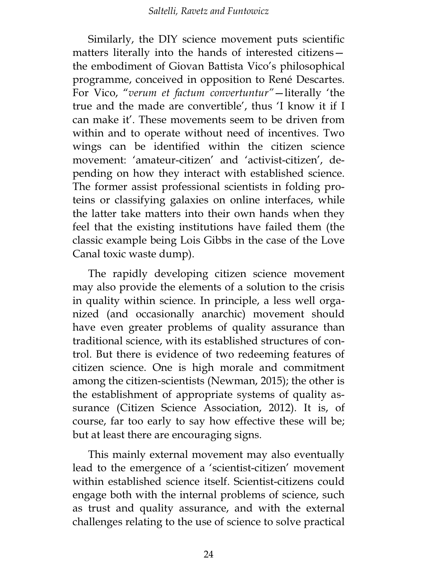Similarly, the DIY science movement puts scientific matters literally into the hands of interested citizens the embodiment of Giovan Battista Vico's philosophical programme, conceived in opposition to René Descartes. For Vico, "*verum et factum convertuntur"*—literally 'the true and the made are convertible', thus 'I know it if I can make it'. These movements seem to be driven from within and to operate without need of incentives. Two wings can be identified within the citizen science movement: 'amateur-citizen' and 'activist-citizen', depending on how they interact with established science. The former assist professional scientists in folding proteins or classifying galaxies on online interfaces, while the latter take matters into their own hands when they feel that the existing institutions have failed them (the classic example being Lois Gibbs in the case of the Love Canal toxic waste dump).

The rapidly developing citizen science movement may also provide the elements of a solution to the crisis in quality within science. In principle, a less well organized (and occasionally anarchic) movement should have even greater problems of quality assurance than traditional science, with its established structures of control. But there is evidence of two redeeming features of citizen science. One is high morale and commitment among the citizen-scientists (Newman, 2015); the other is the establishment of appropriate systems of quality assurance (Citizen Science Association, 2012). It is, of course, far too early to say how effective these will be; but at least there are encouraging signs.

This mainly external movement may also eventually lead to the emergence of a 'scientist-citizen' movement within established science itself. Scientist-citizens could engage both with the internal problems of science, such as trust and quality assurance, and with the external challenges relating to the use of science to solve practical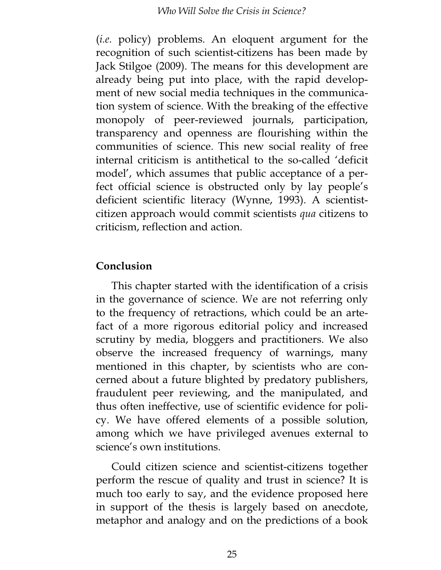(*i.e.* policy) problems. An eloquent argument for the recognition of such scientist-citizens has been made by Jack Stilgoe (2009). The means for this development are already being put into place, with the rapid development of new social media techniques in the communication system of science. With the breaking of the effective monopoly of peer-reviewed journals, participation, transparency and openness are flourishing within the communities of science. This new social reality of free internal criticism is antithetical to the so-called 'deficit model', which assumes that public acceptance of a perfect official science is obstructed only by lay people's deficient scientific literacy (Wynne, 1993). A scientistcitizen approach would commit scientists *qua* citizens to criticism, reflection and action.

#### **Conclusion**

This chapter started with the identification of a crisis in the governance of science. We are not referring only to the frequency of retractions, which could be an artefact of a more rigorous editorial policy and increased scrutiny by media, bloggers and practitioners. We also observe the increased frequency of warnings, many mentioned in this chapter, by scientists who are concerned about a future blighted by predatory publishers, fraudulent peer reviewing, and the manipulated, and thus often ineffective, use of scientific evidence for policy. We have offered elements of a possible solution, among which we have privileged avenues external to science's own institutions.

Could citizen science and scientist-citizens together perform the rescue of quality and trust in science? It is much too early to say, and the evidence proposed here in support of the thesis is largely based on anecdote, metaphor and analogy and on the predictions of a book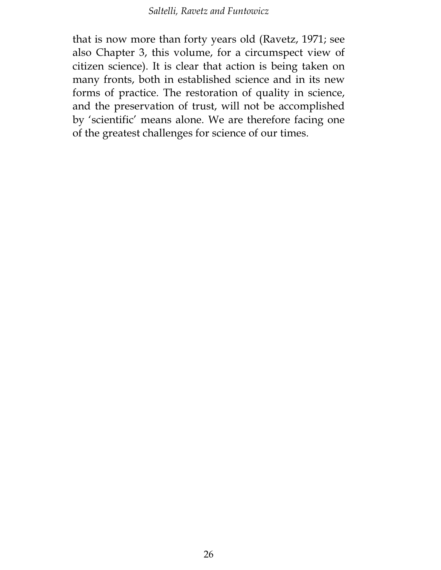that is now more than forty years old (Ravetz, 1971; see also Chapter 3, this volume, for a circumspect view of citizen science). It is clear that action is being taken on many fronts, both in established science and in its new forms of practice. The restoration of quality in science, and the preservation of trust, will not be accomplished by 'scientific' means alone. We are therefore facing one of the greatest challenges for science of our times.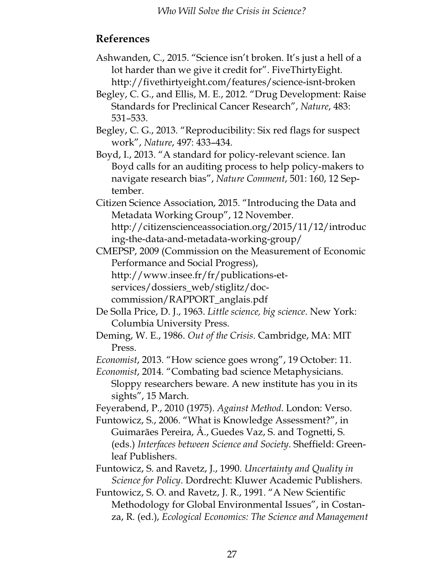### **References**

Ashwanden, C., 2015. "Science isn't broken. It's just a hell of a lot harder than we give it credit for". FiveThirtyEight. http://fivethirtyeight.com/features/science-isnt-broken

Begley, C. G., and Ellis, M. E., 2012. "Drug Development: Raise Standards for Preclinical Cancer Research", *Nature*, 483: 531–533.

Begley, C. G., 2013. "Reproducibility: Six red flags for suspect work", *Nature*, 497: 433–434.

Boyd, I., 2013. "A standard for policy-relevant science. Ian Boyd calls for an auditing process to help policy-makers to navigate research bias", *Nature Comment*, 501: 160, 12 September.

Citizen Science Association, 2015. "Introducing the Data and Metadata Working Group", 12 November. http://citizenscienceassociation.org/2015/11/12/introduc

ing-the-data-and-metadata-working-group/

CMEPSP, 2009 (Commission on the Measurement of Economic Performance and Social Progress),

http://www.insee.fr/fr/publications-etservices/dossiers\_web/stiglitz/doccommission/RAPPORT\_anglais.pdf

- De Solla Price, D. J., 1963. *Little science, big science*. New York: Columbia University Press.
- Deming, W. E., 1986. *Out of the Crisis*. Cambridge, MA: MIT Press.

*Economist*, 2013. "How science goes wrong", 19 October: 11.

*Economist*, 2014. "Combating bad science Metaphysicians. Sloppy researchers beware. A new institute has you in its sights", 15 March.

Feyerabend, P., 2010 (1975). *Against Method*. London: Verso.

Funtowicz, S., 2006. "What is Knowledge Assessment?", in Guimarães Pereira, Â., Guedes Vaz, S. and Tognetti, S. (eds.) *Interfaces between Science and Society*. Sheffield: Greenleaf Publishers.

Funtowicz, S. and Ravetz, J., 1990. *Uncertainty and Quality in Science for Policy*. Dordrecht: Kluwer Academic Publishers.

Funtowicz, S. O. and Ravetz, J. R., 1991. "A New Scientific Methodology for Global Environmental Issues", in Costanza, R. (ed.), *Ecological Economics: The Science and Management*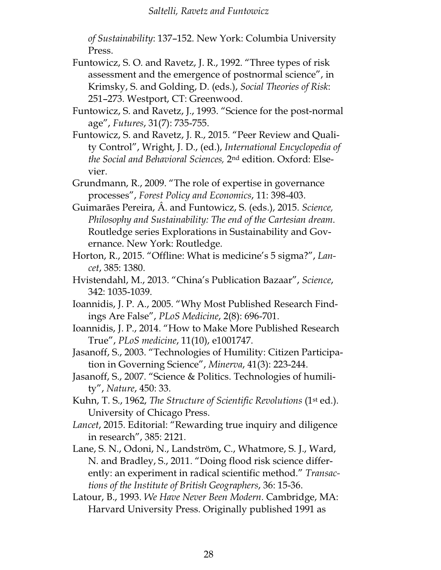*of Sustainability*: 137–152. New York: Columbia University Press.

- Funtowicz, S. O. and Ravetz, J. R., 1992. "Three types of risk assessment and the emergence of postnormal science", in Krimsky, S. and Golding, D. (eds.), *Social Theories of Risk*: 251–273. Westport, CT: Greenwood.
- Funtowicz, S. and Ravetz, J., 1993. "Science for the post-normal age", *Futures*, 31(7): 735-755.
- Funtowicz, S. and Ravetz, J. R., 2015. "Peer Review and Quality Control", Wright, J. D., (ed.), *International Encyclopedia of the Social and Behavioral Sciences,* 2nd edition. Oxford: Elsevier.
- Grundmann, R., 2009. "The role of expertise in governance processes", *Forest Policy and Economics*, 11: 398-403.
- Guimarães Pereira, Â. and Funtowicz, S. (eds.), 2015. *Science, Philosophy and Sustainability: The end of the Cartesian dream*. Routledge series Explorations in Sustainability and Governance. New York: Routledge.
- Horton, R., 2015. "Offline: What is medicine's 5 sigma?", *Lancet*, 385: 1380.
- Hvistendahl, M., 2013. "China's Publication Bazaar", *Science*, 342: 1035-1039.
- Ioannidis, J. P. A., 2005. "Why Most Published Research Findings Are False", *PLoS Medicine*, 2(8): 696-701.
- Ioannidis, J. P., 2014. "How to Make More Published Research True", *PLoS medicine*, 11(10), e1001747.
- Jasanoff, S., 2003. "Technologies of Humility: Citizen Participation in Governing Science", *Minerva*, 41(3): 223-244.
- Jasanoff, S., 2007. "Science & Politics. Technologies of humility", *Nature*, 450: 33.
- Kuhn, T. S., 1962, *The Structure of Scientific Revolutions* (1st ed.). University of Chicago Press.
- *Lancet*, 2015. Editorial: "Rewarding true inquiry and diligence in research", 385: 2121.
- Lane, S. N., Odoni, N., Landström, C., Whatmore, S. J., Ward, N. and Bradley, S., 2011. "Doing flood risk science differently: an experiment in radical scientific method." *Transactions of the Institute of British Geographers*, 36: 15-36.
- Latour, B., 1993. *We Have Never Been Modern*. Cambridge, MA: Harvard University Press. Originally published 1991 as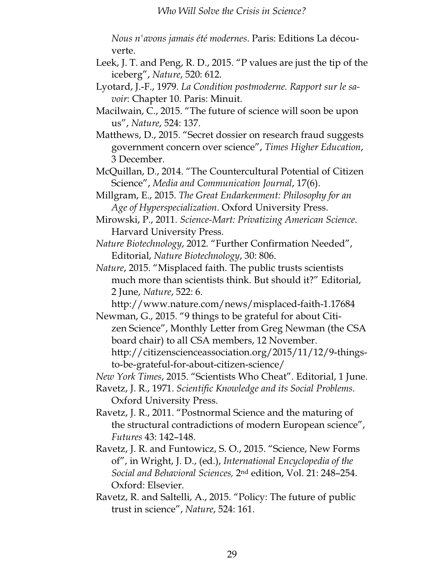*Nous n'avons jamais été modernes*. Paris: Editions La découverte.

- Leek, J. T. and Peng, R. D., 2015. "P values are just the tip of the iceberg", *Nature*, 520: 612.
- Lyotard, J.-F., 1979. *La Condition postmoderne. Rapport sur le savoir*: Chapter 10. Paris: Minuit.
- Macilwain, C., 2015. "The future of science will soon be upon us", *Nature*, 524: 137.
- Matthews, D., 2015. "Secret dossier on research fraud suggests government concern over science", *Times Higher Education*, 3 December.
- McQuillan, D., 2014. "The Countercultural Potential of Citizen Science", *Media and Communication Journal*, 17(6).

- Mirowski, P., 2011. *Science-Mart: Privatizing American Science*. Harvard University Press.
- *Nature Biotechnology*, 2012. "Further Confirmation Needed", Editorial, *Nature Biotechnology*, 30: 806.
- *Nature*, 2015. "Misplaced faith. The public trusts scientists much more than scientists think. But should it?" Editorial, 2 June, *Nature*, 522: 6.

http://www.nature.com/news/misplaced-faith-1.17684

Newman, G., 2015. "9 things to be grateful for about Citizen Science", Monthly Letter from Greg Newman (the CSA board chair) to all CSA members, 12 November. http://citizenscienceassociation.org/2015/11/12/9-thingsto-be-grateful-for-about-citizen-science/

*New York Times*, 2015. "Scientists Who Cheat". Editorial, 1 June.

- Ravetz, J. R., 1971. *Scientific Knowledge and its Social Problems*. Oxford University Press.
- Ravetz, J. R., 2011. "Postnormal Science and the maturing of the structural contradictions of modern European science", *Futures* 43: 142–148.
- Ravetz, J. R. and Funtowicz, S. O., 2015. "Science, New Forms of", in Wright, J. D., (ed.), *International Encyclopedia of the Social and Behavioral Sciences,* 2nd edition, Vol. 21: 248–254. Oxford: Elsevier.
- Ravetz, R. and Saltelli, A., 2015. "Policy: The future of public trust in science", *Nature*, 524: 161.

Millgram, E., 2015. *The Great Endarkenment: Philosophy for an Age of Hyperspecialization*. Oxford University Press.